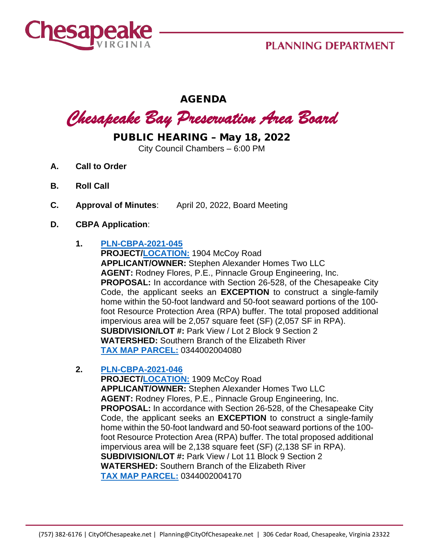

# AGENDA

# *Chesapeake Bay Preservation Area Board*

# PUBLIC HEARING – May 18, 2022

City Council Chambers – 6:00 PM

- **A. Call to Order**
- **B. Roll Call**
- **C. Approval of Minutes**: April 20, 2022, Board Meeting
- **D. CBPA Application**:

#### **1. [PLN-CBPA-2021-045](https://aca-prod.accela.com/CHESAPEAKE/Cap/CapDetail.aspx?Module=Planning&TabName=Planning&capID1=DUB21&capID2=00000&capID3=00NIR&agencyCode=CHESAPEAKE&IsToShowInspection=)**

**PROJECT[/LOCATION:](https://www.cityofchesapeake.net/Assets/supporting_docs/actions_cbpa/2022/2022-05-18/pln-cbpa-2021-045_location_map.jpg)** 1904 McCoy Road **APPLICANT/OWNER:** Stephen Alexander Homes Two LLC **AGENT:** Rodney Flores, P.E., Pinnacle Group Engineering, Inc. **PROPOSAL:** In accordance with Section 26-528, of the Chesapeake City Code, the applicant seeks an **EXCEPTION** to construct a single-family home within the 50-foot landward and 50-foot seaward portions of the 100 foot Resource Protection Area (RPA) buffer. The total proposed additional impervious area will be 2,057 square feet (SF) (2,057 SF in RPA). **SUBDIVISION/LOT #:** Park View / Lot 2 Block 9 Section 2 **WATERSHED:** Southern Branch of the Elizabeth River **[TAX MAP PARCEL:](https://www.cityofchesapeake.net/Assets/supporting_docs/actions_cbpa/2022/2022-05-18/pln-cbpa-2021-045_aerial.jpg)** 0344002004080

#### **2. [PLN-CBPA-2021-046](https://aca-prod.accela.com/CHESAPEAKE/Cap/CapDetail.aspx?Module=Planning&TabName=Planning&capID1=DUB21&capID2=00000&capID3=00NIX&agencyCode=CHESAPEAKE&IsToShowInspection=)**

**PROJECT[/LOCATION:](https://www.cityofchesapeake.net/Assets/supporting_docs/actions_cbpa/2022/2022-05-18/pln-cbpa-2021-046_location_map.jpg)** 1909 McCoy Road **APPLICANT/OWNER:** Stephen Alexander Homes Two LLC **AGENT:** Rodney Flores, P.E., Pinnacle Group Engineering, Inc. **PROPOSAL:** In accordance with Section 26-528, of the Chesapeake City Code, the applicant seeks an **EXCEPTION** to construct a single-family home within the 50-foot landward and 50-foot seaward portions of the 100 foot Resource Protection Area (RPA) buffer. The total proposed additional impervious area will be 2,138 square feet (SF) (2,138 SF in RPA). **SUBDIVISION/LOT #:** Park View / Lot 11 Block 9 Section 2 **WATERSHED:** Southern Branch of the Elizabeth River **[TAX MAP PARCEL:](https://www.cityofchesapeake.net/Assets/supporting_docs/actions_cbpa/2022/2022-05-18/pln-cbpa-2021-046_aerial.jpg)** 0344002004170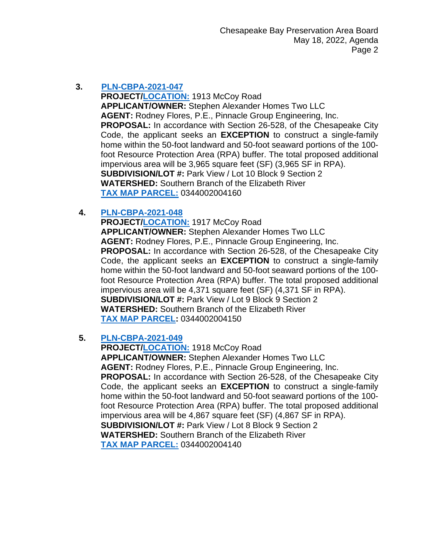# **3. [PLN-CBPA-2021-047](https://aca-prod.accela.com/CHESAPEAKE/Cap/CapDetail.aspx?Module=Planning&TabName=Planning&capID1=DUB21&capID2=00000&capID3=00NJ9&agencyCode=CHESAPEAKE&IsToShowInspection=)**

**PROJECT[/LOCATION:](https://www.cityofchesapeake.net/Assets/supporting_docs/actions_cbpa/2022/2022-05-18/pln-cbpa-2021-047_location_map.jpg)** 1913 McCoy Road **APPLICANT/OWNER:** Stephen Alexander Homes Two LLC **AGENT:** Rodney Flores, P.E., Pinnacle Group Engineering, Inc. **PROPOSAL:** In accordance with Section 26-528, of the Chesapeake City Code, the applicant seeks an **EXCEPTION** to construct a single-family home within the 50-foot landward and 50-foot seaward portions of the 100 foot Resource Protection Area (RPA) buffer. The total proposed additional impervious area will be 3,965 square feet (SF) (3,965 SF in RPA). **SUBDIVISION/LOT #:** Park View / Lot 10 Block 9 Section 2 **WATERSHED:** Southern Branch of the Elizabeth River **[TAX MAP PARCEL:](https://www.cityofchesapeake.net/Assets/supporting_docs/actions_cbpa/2022/2022-05-18/pln-cbpa-2021-047_aerial.jpg)** 0344002004160

# **4. [PLN-CBPA-2021-048](https://aca-prod.accela.com/CHESAPEAKE/Cap/CapDetail.aspx?Module=Planning&TabName=Planning&capID1=DUB21&capID2=00000&capID3=00NJE&agencyCode=CHESAPEAKE&IsToShowInspection=)**

**PROJECT[/LOCATION:](https://www.cityofchesapeake.net/Assets/supporting_docs/actions_cbpa/2022/2022-05-18/pln-cbpa-2021-048_location_map.jpg)** 1917 McCoy Road **APPLICANT/OWNER:** Stephen Alexander Homes Two LLC **AGENT:** Rodney Flores, P.E., Pinnacle Group Engineering, Inc. **PROPOSAL:** In accordance with Section 26-528, of the Chesapeake City Code, the applicant seeks an **EXCEPTION** to construct a single-family home within the 50-foot landward and 50-foot seaward portions of the 100 foot Resource Protection Area (RPA) buffer. The total proposed additional impervious area will be 4,371 square feet (SF) (4,371 SF in RPA). **SUBDIVISION/LOT #:** Park View / Lot 9 Block 9 Section 2 **WATERSHED:** Southern Branch of the Elizabeth River **[TAX MAP PARCEL:](https://www.cityofchesapeake.net/Assets/supporting_docs/actions_cbpa/2022/2022-05-18/pln-cbpa-2021-048_aerial.jpg)** 0344002004150

# **5. [PLN-CBPA-2021-049](https://aca-prod.accela.com/CHESAPEAKE/Cap/CapDetail.aspx?Module=Planning&TabName=Planning&capID1=DUB21&capID2=00000&capID3=00NJJ&agencyCode=CHESAPEAKE&IsToShowInspection=)**

**PROJECT[/LOCATION:](https://www.cityofchesapeake.net/Assets/supporting_docs/actions_cbpa/2022/2022-05-18/pln-cbpa-2021-049_location_map.jpg)** 1918 McCoy Road **APPLICANT/OWNER:** Stephen Alexander Homes Two LLC **AGENT:** Rodney Flores, P.E., Pinnacle Group Engineering, Inc. **PROPOSAL:** In accordance with Section 26-528, of the Chesapeake City Code, the applicant seeks an **EXCEPTION** to construct a single-family home within the 50-foot landward and 50-foot seaward portions of the 100 foot Resource Protection Area (RPA) buffer. The total proposed additional impervious area will be 4,867 square feet (SF) (4,867 SF in RPA). **SUBDIVISION/LOT #:** Park View / Lot 8 Block 9 Section 2 **WATERSHED:** Southern Branch of the Elizabeth River **[TAX MAP PARCEL:](https://www.cityofchesapeake.net/Assets/supporting_docs/actions_cbpa/2022/2022-05-18/pln-cbpa-2021-049_aerial.jpg)** 0344002004140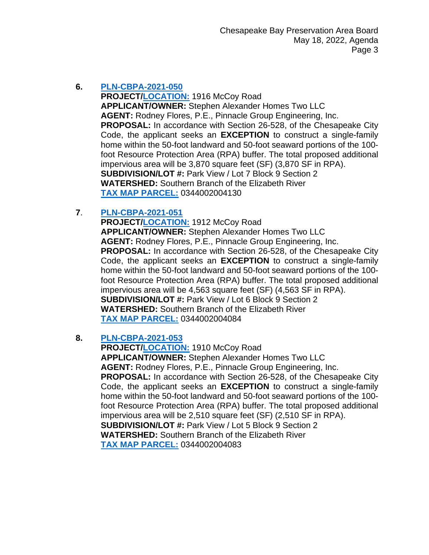#### **6. [PLN-CBPA-2021-050](https://aca-prod.accela.com/CHESAPEAKE/Cap/CapDetail.aspx?Module=Planning&TabName=Planning&capID1=DUB21&capID2=00000&capID3=00NJR&agencyCode=CHESAPEAKE&IsToShowInspection=)**

**PROJECT[/LOCATION:](https://www.cityofchesapeake.net/Assets/supporting_docs/actions_cbpa/2022/2022-05-18/pln-cbpa-2021-050_location_map.jpg)** 1916 McCoy Road **APPLICANT/OWNER:** Stephen Alexander Homes Two LLC **AGENT:** Rodney Flores, P.E., Pinnacle Group Engineering, Inc. **PROPOSAL:** In accordance with Section 26-528, of the Chesapeake City Code, the applicant seeks an **EXCEPTION** to construct a single-family home within the 50-foot landward and 50-foot seaward portions of the 100 foot Resource Protection Area (RPA) buffer. The total proposed additional impervious area will be 3,870 square feet (SF) (3,870 SF in RPA). **SUBDIVISION/LOT #:** Park View / Lot 7 Block 9 Section 2 **WATERSHED:** Southern Branch of the Elizabeth River **[TAX MAP PARCEL:](https://www.cityofchesapeake.net/Assets/supporting_docs/actions_cbpa/2022/2022-05-18/pln-cbpa-2021-050_aerial.jpg)** 0344002004130

# **7**. **[PLN-CBPA-2021-051](https://aca-prod.accela.com/CHESAPEAKE/Cap/CapDetail.aspx?Module=Planning&TabName=Planning&capID1=DUB21&capID2=00000&capID3=00NJT&agencyCode=CHESAPEAKE&IsToShowInspection=)**

**PROJECT[/LOCATION:](https://www.cityofchesapeake.net/Assets/supporting_docs/actions_cbpa/2022/2022-05-18/pln-cbpa-2021-051_location_map.jpg)** 1912 McCoy Road **APPLICANT/OWNER:** Stephen Alexander Homes Two LLC **AGENT:** Rodney Flores, P.E., Pinnacle Group Engineering, Inc. **PROPOSAL:** In accordance with Section 26-528, of the Chesapeake City Code, the applicant seeks an **EXCEPTION** to construct a single-family home within the 50-foot landward and 50-foot seaward portions of the 100 foot Resource Protection Area (RPA) buffer. The total proposed additional impervious area will be 4,563 square feet (SF) (4,563 SF in RPA). **SUBDIVISION/LOT #:** Park View / Lot 6 Block 9 Section 2 **WATERSHED:** Southern Branch of the Elizabeth River **[TAX MAP PARCEL:](https://www.cityofchesapeake.net/Assets/supporting_docs/actions_cbpa/2022/2022-05-18/pln-cbpa-2021-051_aerial.jpg)** 0344002004084

# **8. [PLN-CBPA-2021-053](https://aca-prod.accela.com/CHESAPEAKE/Cap/CapDetail.aspx?Module=Planning&TabName=Planning&capID1=DUB21&capID2=00000&capID3=00NLK&agencyCode=CHESAPEAKE&IsToShowInspection=)**

**PROJECT[/LOCATION:](https://www.cityofchesapeake.net/Assets/supporting_docs/actions_cbpa/2022/2022-05-18/pln-cbpa-2021-053_location_map.jpg)** 1910 McCoy Road **APPLICANT/OWNER:** Stephen Alexander Homes Two LLC **AGENT:** Rodney Flores, P.E., Pinnacle Group Engineering, Inc. **PROPOSAL:** In accordance with Section 26-528, of the Chesapeake City Code, the applicant seeks an **EXCEPTION** to construct a single-family home within the 50-foot landward and 50-foot seaward portions of the 100 foot Resource Protection Area (RPA) buffer. The total proposed additional impervious area will be 2,510 square feet (SF) (2,510 SF in RPA). **SUBDIVISION/LOT #:** Park View / Lot 5 Block 9 Section 2 **WATERSHED:** Southern Branch of the Elizabeth River **[TAX MAP PARCEL:](https://www.cityofchesapeake.net/Assets/supporting_docs/actions_cbpa/2022/2022-05-18/pln-cbpa-2021-053_aerial.jpg)** 0344002004083